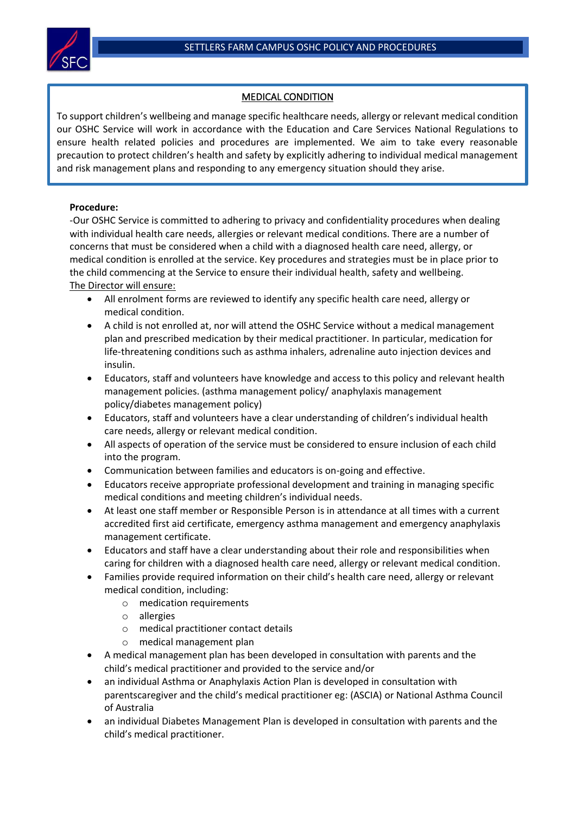

# MEDICAL CONDITION

To support children's wellbeing and manage specific healthcare needs, allergy or relevant medical condition our OSHC Service will work in accordance with the Education and Care Services National Regulations to ensure health related policies and procedures are implemented. We aim to take every reasonable precaution to protect children's health and safety by explicitly adhering to individual medical management and risk management plans and responding to any emergency situation should they arise.

### **Procedure:**

-Our OSHC Service is committed to adhering to privacy and confidentiality procedures when dealing with individual health care needs, allergies or relevant medical conditions. There are a number of concerns that must be considered when a child with a diagnosed health care need, allergy, or medical condition is enrolled at the service. Key procedures and strategies must be in place prior to the child commencing at the Service to ensure their individual health, safety and wellbeing. The Director will ensure:

- All enrolment forms are reviewed to identify any specific health care need, allergy or medical condition.
- A child is not enrolled at, nor will attend the OSHC Service without a medical management plan and prescribed medication by their medical practitioner. In particular, medication for life-threatening conditions such as asthma inhalers, adrenaline auto injection devices and insulin.
- Educators, staff and volunteers have knowledge and access to this policy and relevant health management policies. (asthma management policy/ anaphylaxis management policy/diabetes management policy)
- Educators, staff and volunteers have a clear understanding of children's individual health care needs, allergy or relevant medical condition.
- All aspects of operation of the service must be considered to ensure inclusion of each child into the program.
- Communication between families and educators is on-going and effective.
- Educators receive appropriate professional development and training in managing specific medical conditions and meeting children's individual needs.
- At least one staff member or Responsible Person is in attendance at all times with a current accredited first aid certificate, emergency asthma management and emergency anaphylaxis management certificate.
- Educators and staff have a clear understanding about their role and responsibilities when caring for children with a diagnosed health care need, allergy or relevant medical condition.
- Families provide required information on their child's health care need, allergy or relevant medical condition, including:
	- o medication requirements
	- o allergies
	- o medical practitioner contact details
	- o medical management plan
- A medical management plan has been developed in consultation with parents and the child's medical practitioner and provided to the service and/or
- an individual Asthma or Anaphylaxis Action Plan is developed in consultation with parentscaregiver and the child's medical practitioner eg: (ASCIA) or National Asthma Council of Australia
- an individual Diabetes Management Plan is developed in consultation with parents and the child's medical practitioner.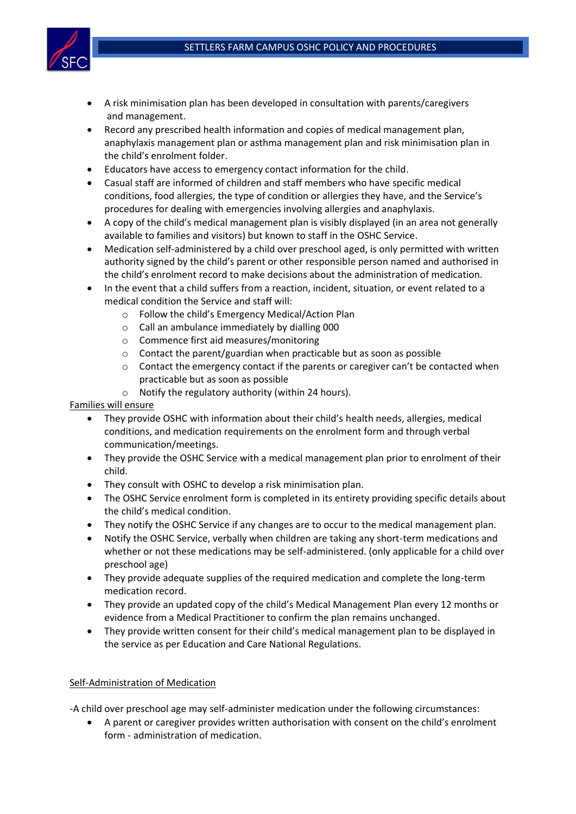

- A risk minimisation plan has been developed in consultation with parents/caregivers and management.
- Record any prescribed health information and copies of medical management plan, anaphylaxis management plan or asthma management plan and risk minimisation plan in the child's enrolment folder.
- Educators have access to emergency contact information for the child.
- Casual staff are informed of children and staff members who have specific medical conditions, food allergies, the type of condition or allergies they have, and the Service's procedures for dealing with emergencies involving allergies and anaphylaxis.
- A copy of the child's medical management plan is visibly displayed (in an area not generally available to families and visitors) but known to staff in the OSHC Service.
- Medication self-administered by a child over preschool aged, is only permitted with written authority signed by the child's parent or other responsible person named and authorised in the child's enrolment record to make decisions about the administration of medication.
- In the event that a child suffers from a reaction, incident, situation, or event related to a medical condition the Service and staff will:
	- o Follow the child's Emergency Medical/Action Plan
	- o Call an ambulance immediately by dialling 000
	- o Commence first aid measures/monitoring
	- o Contact the parent/guardian when practicable but as soon as possible
	- $\circ$  Contact the emergency contact if the parents or caregiver can't be contacted when practicable but as soon as possible
	- o Notify the regulatory authority (within 24 hours).

## Families will ensure

- They provide OSHC with information about their child's health needs, allergies, medical conditions, and medication requirements on the enrolment form and through verbal communication/meetings.
- They provide the OSHC Service with a medical management plan prior to enrolment of their child.
- They consult with OSHC to develop a risk minimisation plan.
- The OSHC Service enrolment form is completed in its entirety providing specific details about the child's medical condition.
- They notify the OSHC Service if any changes are to occur to the medical management plan.
- Notify the OSHC Service, verbally when children are taking any short-term medications and whether or not these medications may be self-administered. (only applicable for a child over preschool age)
- They provide adequate supplies of the required medication and complete the long-term medication record.
- They provide an updated copy of the child's Medical Management Plan every 12 months or evidence from a Medical Practitioner to confirm the plan remains unchanged.
- They provide written consent for their child's medical management plan to be displayed in the service as per Education and Care National Regulations.

## Self-Administration of Medication

-A child over preschool age may self-administer medication under the following circumstances:

• A parent or caregiver provides written authorisation with consent on the child's enrolment form - administration of medication.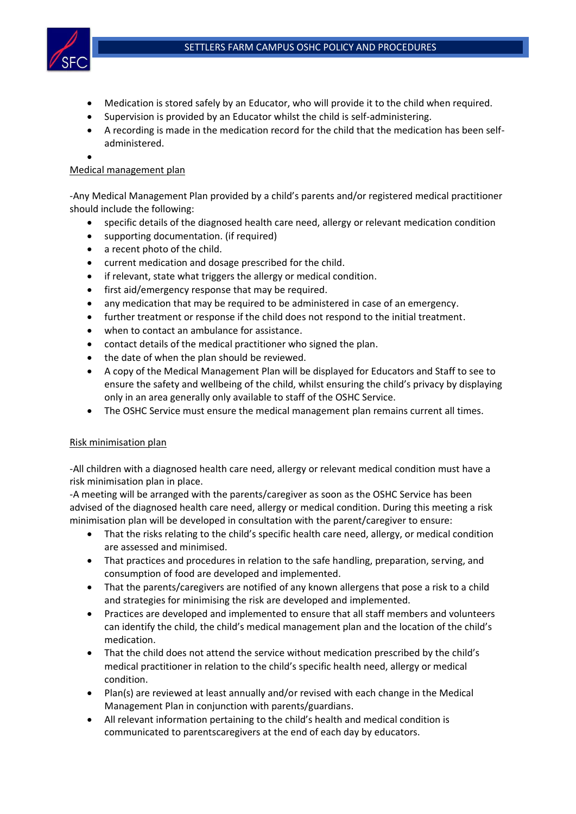

- Medication is stored safely by an Educator, who will provide it to the child when required.
- Supervision is provided by an Educator whilst the child is self-administering.
- A recording is made in the medication record for the child that the medication has been selfadministered.
- •

#### Medical management plan

-Any Medical Management Plan provided by a child's parents and/or registered medical practitioner should include the following:

- specific details of the diagnosed health care need, allergy or relevant medication condition
- supporting documentation. (if required)
- a recent photo of the child.
- current medication and dosage prescribed for the child.
- if relevant, state what triggers the allergy or medical condition.
- first aid/emergency response that may be required.
- any medication that may be required to be administered in case of an emergency.
- further treatment or response if the child does not respond to the initial treatment.
- when to contact an ambulance for assistance.
- contact details of the medical practitioner who signed the plan.
- the date of when the plan should be reviewed.
- A copy of the Medical Management Plan will be displayed for Educators and Staff to see to ensure the safety and wellbeing of the child, whilst ensuring the child's privacy by displaying only in an area generally only available to staff of the OSHC Service.
- The OSHC Service must ensure the medical management plan remains current all times.

#### Risk minimisation plan

-All children with a diagnosed health care need, allergy or relevant medical condition must have a risk minimisation plan in place.

-A meeting will be arranged with the parents/caregiver as soon as the OSHC Service has been advised of the diagnosed health care need, allergy or medical condition. During this meeting a risk minimisation plan will be developed in consultation with the parent/caregiver to ensure:

- That the risks relating to the child's specific health care need, allergy, or medical condition are assessed and minimised.
- That practices and procedures in relation to the safe handling, preparation, serving, and consumption of food are developed and implemented.
- That the parents/caregivers are notified of any known allergens that pose a risk to a child and strategies for minimising the risk are developed and implemented.
- Practices are developed and implemented to ensure that all staff members and volunteers can identify the child, the child's medical management plan and the location of the child's medication.
- That the child does not attend the service without medication prescribed by the child's medical practitioner in relation to the child's specific health need, allergy or medical condition.
- Plan(s) are reviewed at least annually and/or revised with each change in the Medical Management Plan in conjunction with parents/guardians.
- All relevant information pertaining to the child's health and medical condition is communicated to parentscaregivers at the end of each day by educators.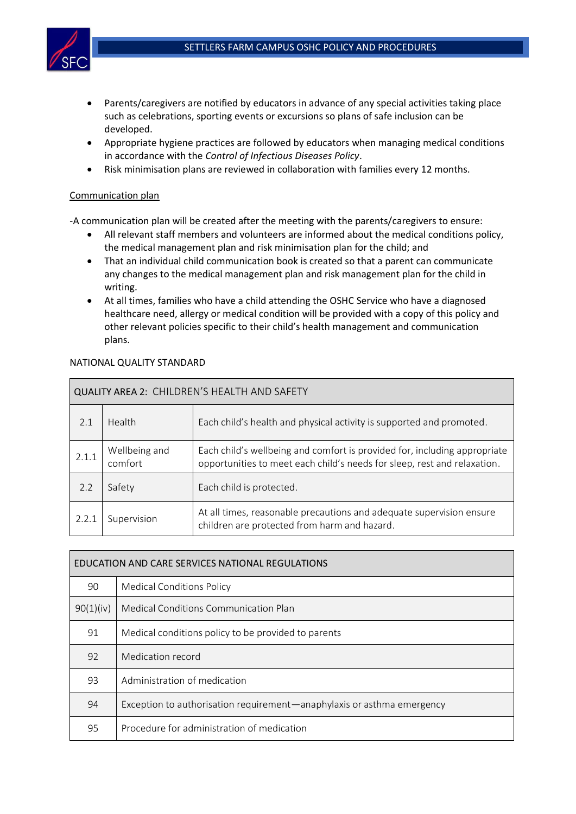

- Parents/caregivers are notified by educators in advance of any special activities taking place such as celebrations, sporting events or excursions so plans of safe inclusion can be developed.
- Appropriate hygiene practices are followed by educators when managing medical conditions in accordance with the *Control of Infectious Diseases Policy*.
- Risk minimisation plans are reviewed in collaboration with families every 12 months.

### Communication plan

-A communication plan will be created after the meeting with the parents/caregivers to ensure:

- All relevant staff members and volunteers are informed about the medical conditions policy, the medical management plan and risk minimisation plan for the child; and
- That an individual child communication book is created so that a parent can communicate any changes to the medical management plan and risk management plan for the child in writing.
- At all times, families who have a child attending the OSHC Service who have a diagnosed healthcare need, allergy or medical condition will be provided with a copy of this policy and other relevant policies specific to their child's health management and communication plans.

| QUALITY AREA 2: CHILDREN'S HEALTH AND SAFETY |                          |                                                                                                                                                       |  |  |  |
|----------------------------------------------|--------------------------|-------------------------------------------------------------------------------------------------------------------------------------------------------|--|--|--|
| 2.1                                          | Health                   | Each child's health and physical activity is supported and promoted.                                                                                  |  |  |  |
| 2.1.1                                        | Wellbeing and<br>comfort | Each child's wellbeing and comfort is provided for, including appropriate<br>opportunities to meet each child's needs for sleep, rest and relaxation. |  |  |  |
| 2.2                                          | Safety                   | Each child is protected.                                                                                                                              |  |  |  |
| 2.2.1                                        | Supervision              | At all times, reasonable precautions and adequate supervision ensure<br>children are protected from harm and hazard.                                  |  |  |  |

## NATIONAL QUALITY STANDARD

| EDUCATION AND CARE SERVICES NATIONAL REGULATIONS |                                                                        |  |  |  |
|--------------------------------------------------|------------------------------------------------------------------------|--|--|--|
| 90                                               | <b>Medical Conditions Policy</b>                                       |  |  |  |
| 90(1)(iv)                                        | Medical Conditions Communication Plan                                  |  |  |  |
| 91                                               | Medical conditions policy to be provided to parents                    |  |  |  |
| 92                                               | Medication record                                                      |  |  |  |
| 93                                               | Administration of medication                                           |  |  |  |
| 94                                               | Exception to authorisation requirement—anaphylaxis or asthma emergency |  |  |  |
| 95                                               | Procedure for administration of medication                             |  |  |  |